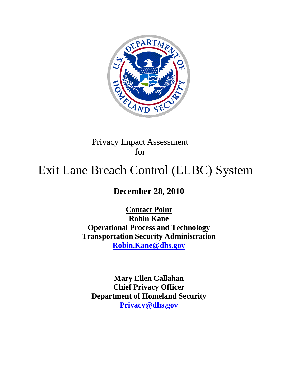

## Privacy Impact Assessment for

# Exit Lane Breach Control (ELBC) System

# **December 28, 2010**

**Contact Point Robin Kane Operational Process and Technology Transportation Security Administration [Robin.Kane@dhs.gov](mailto:Robin.Kane@dhs.gov)**

**Mary Ellen Callahan Chief Privacy Officer Department of Homeland Security [Privacy@dhs.gov](mailto:Privacy@dhs.gov)**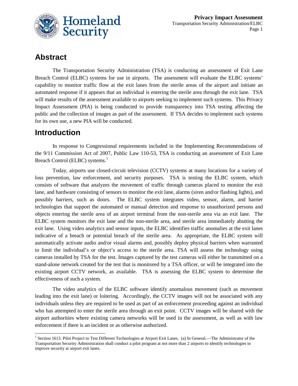

## **Abstract**

The Transportation Security Administration (TSA) is conducting an assessment of Exit Lane Breach Control (ELBC) systems for use in airports. The assessment will evaluate the ELBC systems' capability to monitor traffic flow at the exit lanes from the sterile areas of the airport and initiate an automated response if it appears that an individual is entering the sterile area through the exit lane. TSA will make results of the assessment available to airports seeking to implement such systems. This Privacy Impact Assessment (PIA) is being conducted to provide transparency into TSA testing affecting the public and the collection of images as part of the assessment. If TSA decides to implement such systems for its own use, a new PIA will be conducted.

### **Introduction**

In response to Congressional requirements included in the Implementing Recommendations of the 9/11 Commission Act of 2007, Public Law 110-53, TSA is conducting an assessment of Exit Lane Breach Control (ELBC) systems.<sup>[1](#page-1-0)</sup>

Today, airports use closed-circuit television (CCTV) systems at many locations for a variety of loss prevention, law enforcement, and security purposes. TSA is testing the ELBC system, which consists of software that analyzes the movement of traffic through cameras placed to monitor the exit lane, and hardware consisting of sensors to monitor the exit lane, alarms (siren and/or flashing lights), and possibly barriers, such as doors. The ELBC system integrates video, sensor, alarm, and barrier technologies that support the automated or manual detection and response to unauthorized persons and objects entering the sterile area of an airport terminal from the non-sterile area via an exit lane. The ELBC system monitors the exit lane and the non-sterile area, and sterile area immediately abutting the exit lane. Using video analytics and sensor inputs, the ELBC identifies traffic anomalies at the exit lanes indicative of a breach or potential breach of the sterile area. As appropriate, the ELBC system will automatically activate audio and/or visual alarms and, possibly deploy physical barriers when warranted to limit the individual's or object's access to the sterile area. TSA will assess the technology using cameras installed by TSA for the test. Images captured by the test cameras will either be transmitted on a stand-alone network created for the test that is monitored by a TSA officer, or will be integrated into the existing airport CCTV network, as available. TSA is assessing the ELBC system to determine the effectiveness of such a system.

The video analytics of the ELBC software identify anomalous movement (such as movement leading into the exit lane) or loitering. Accordingly, the CCTV images will not be associated with any individuals unless they are required to be used as part of an enforcement proceeding against an individual who has attempted to enter the sterile area through an exit point. CCTV images will be shared with the airport authorities where existing camera networks will be used in the assessment, as well as with law enforcement if there is an incident or as otherwise authorized.

<span id="page-1-0"></span> $<sup>1</sup>$  Section 1613. Pilot Project to Test Different Technologies at Airport Exit Lanes. (a) In General.—The Administrator of the</sup> Transportation Security Administration shall conduct a pilot program at not more than 2 airports to identify technologies to improve security at airport exit lanes.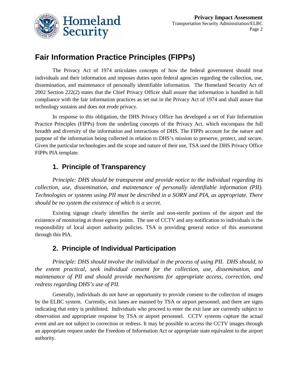

## **Fair Information Practice Principles (FIPPs)**

The Privacy Act of 1974 articulates concepts of how the federal government should treat individuals and their information and imposes duties upon federal agencies regarding the collection, use, dissemination, and maintenance of personally identifiable information. The Homeland Security Act of 2002 Section 222(2) states that the Chief Privacy Officer shall assure that information is handled in full compliance with the fair information practices as set out in the Privacy Act of 1974 and shall assure that technology sustains and does not erode privacy.

In response to this obligation, the DHS Privacy Office has developed a set of Fair Information Practice Principles (FIPPs) from the underling concepts of the Privacy Act, which encompass the full breadth and diversity of the information and interactions of DHS. The FIPPs account for the nature and purpose of the information being collected in relation to DHS's mission to preserve, protect, and secure. Given the particular technologies and the scope and nature of their use, TSA used the DHS Privacy Office FIPPs PIA template.

#### **1. Principle of Transparency**

*Principle: DHS should be transparent and provide notice to the individual regarding its collection, use, dissemination, and maintenance of personally identifiable information (PII). Technologies or systems using PII must be described in a SORN and PIA, as appropriate. There should be no system the existence of which is a secret.*

Existing signage clearly identifies the sterile and non-sterile portions of the airport and the existence of monitoring at those egress points. The use of CCTV and any notification to individuals is the responsibility of local airport authority policies. TSA is providing general notice of this assessment through this PIA.

#### **2. Principle of Individual Participation**

*Principle: DHS should involve the individual in the process of using PII. DHS should, to the extent practical, seek individual consent for the collection, use, dissemination, and maintenance of PII and should provide mechanisms for appropriate access, correction, and redress regarding DHS's use of PII.*

Generally, individuals do not have an opportunity to provide consent to the collection of images by the ELBC system. Currently, exit lanes are manned by TSA or airport personnel, and there are signs indicating that entry is prohibited. Individuals who proceed to enter the exit lane are currently subject to observation and appropriate response by TSA or airport personnel. CCTV systems capture the actual event and are not subject to correction or redress. It may be possible to access the CCTV images through an appropriate request under the Freedom of Information Act or appropriate state equivalent to the airport authority.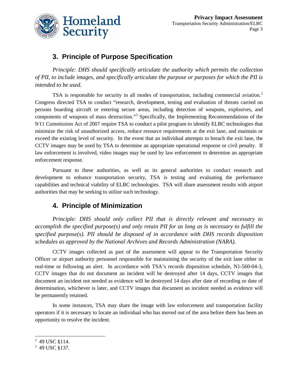

#### **3. Principle of Purpose Specification**

*Principle: DHS should specifically articulate the authority which permits the collection of PII, to include images, and specifically articulate the purpose or purposes for which the PII is intended to be used.*

TSA is responsible for security in all modes of transportation, including commercial aviation.<sup>[2](#page-3-0)</sup> Congress directed TSA to conduct "research, development, testing and evaluation of threats carried on persons boarding aircraft or entering secure areas, including detection of weapons, explosives, and components of weapons of mass destruction."<sup>[3](#page-3-1)</sup> Specifically, the Implementing Recommendations of the 9/11 Commission Act of 2007 require TSA to conduct a pilot program to identify ELBC technologies that minimize the risk of unauthorized access, reduce resource requirements at the exit lane, and maintain or exceed the existing level of security. In the event that an individual attempts to breach the exit lane, the CCTV images may be used by TSA to determine an appropriate operational response or civil penalty. If law enforcement is involved, video images may be used by law enforcement to determine an appropriate enforcement response.

Pursuant to these authorities, as well as its general authorities to conduct research and development to enhance transportation security, TSA is testing and evaluating the performance capabilities and technical viability of ELBC technologies. TSA will share assessment results with airport authorities that may be seeking to utilize such technology.

#### **4. Principle of Minimization**

*Principle: DHS should only collect PII that is directly relevant and necessary to accomplish the specified purpose(s) and only retain PII for as long as is necessary to fulfill the specified purpose(s). PII should be disposed of in accordance with DHS records disposition schedules as approved by the National Archives and Records Administration (NARA).*

CCTV images collected as part of the assessment will appear to the Transportation Security Officer or airport authority personnel responsible for maintaining the security of the exit lane either in real-time or following an alert. In accordance with TSA's records disposition schedule, N1-560-04-3, CCTV images that do not document an incident will be destroyed after 14 days, CCTV images that document an incident not needed as evidence will be destroyed 14 days after date of recording or date of determination, whichever is later, and CCTV images that document an incident needed as evidence will be permanently retained.

In some instances, TSA may share the image with law enforcement and transportation facility operators if it is necessary to locate an individual who has moved out of the area before there has been an opportunity to resolve the incident.

<span id="page-3-0"></span><sup>&</sup>lt;sup>2</sup> <sup>2</sup> 49 USC §114.

<span id="page-3-1"></span><sup>3</sup> 49 USC §137.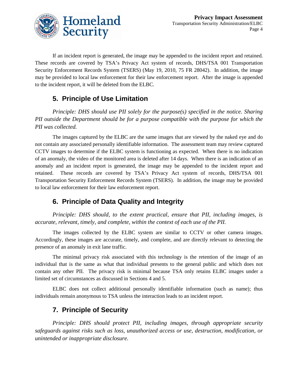

If an incident report is generated, the image may be appended to the incident report and retained. These records are covered by TSA's Privacy Act system of records, DHS/TSA 001 Transportation Security Enforcement Records System (TSERS) (May 19, 2010, 75 FR 28042). In addition, the image may be provided to local law enforcement for their law enforcement report. After the image is appended to the incident report, it will be deleted from the ELBC.

#### **5. Principle of Use Limitation**

*Principle: DHS should use PII solely for the purpose(s) specified in the notice. Sharing PII outside the Department should be for a purpose compatible with the purpose for which the PII was collected.*

The images captured by the ELBC are the same images that are viewed by the naked eye and do not contain any associated personally identifiable information. The assessment team may review captured CCTV images to determine if the ELBC system is functioning as expected. When there is no indication of an anomaly, the video of the monitored area is deleted after 14 days. When there is an indication of an anomaly and an incident report is generated, the image may be appended to the incident report and retained. These records are covered by TSA's Privacy Act system of records, DHS/TSA 001 Transportation Security Enforcement Records System (TSERS). In addition, the image may be provided to local law enforcement for their law enforcement report.

#### **6. Principle of Data Quality and Integrity**

*Principle: DHS should, to the extent practical, ensure that PII, including images, is accurate, relevant, timely, and complete, within the context of each use of the PII.*

The images collected by the ELBC system are similar to CCTV or other camera images. Accordingly, these images are accurate, timely, and complete, and are directly relevant to detecting the presence of an anomaly in exit lane traffic.

The minimal privacy risk associated with this technology is the retention of the image of an individual that is the same as what that individual presents to the general public and which does not contain any other PII. The privacy risk is minimal because TSA only retains ELBC images under a limited set of circumstances as discussed in Sections 4 and 5.

ELBC does not collect additional personally identifiable information (such as name); thus individuals remain anonymous to TSA unless the interaction leads to an incident report.

#### **7. Principle of Security**

*Principle: DHS should protect PII, including images, through appropriate security safeguards against risks such as loss, unauthorized access or use, destruction, modification, or unintended or inappropriate disclosure.*